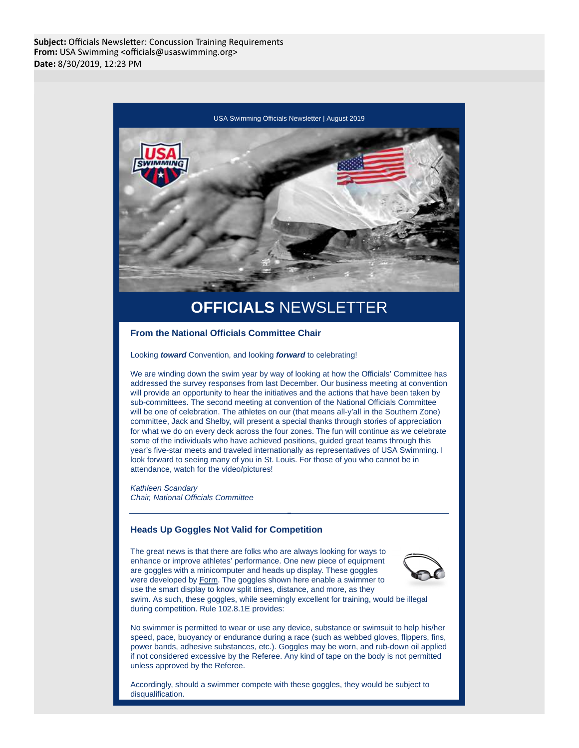

# **OFFICIALS** NEWSLETTER

**From the National Officials Committee Chair**

Looking **toward** Convention, and looking **forward** to celebrating!

We are winding down the swim year by way of looking at how the Officials' Committee has addressed the survey responses from last December. Our business meeting at convention will provide an opportunity to hear the initiatives and the actions that have been taken by sub-committees. The second meeting at convention of the National Officials Committee will be one of celebration. The athletes on our (that means all-y'all in the Southern Zone) committee, Jack and Shelby, will present a special thanks through stories of appreciation for what we do on every deck across the four zones. The fun will continue as we celebrate some of the individuals who have achieved positions, guided great teams through this year's five-star meets and traveled internationally as representatives of USA Swimming. I look forward to seeing many of you in St. Louis. For those of you who cannot be in attendance, watch for the video/pictures!

Kathleen Scandary Chair, National Officials Committee

## **Heads Up Goggles Not Valid for Competition**

The great news is that there are folks who are always looking for ways to enhance or improve athletes' performance. One new piece of equipment are goggles with a minicomputer and heads up display. These goggles were developed by Form. The goggles shown here enable a swimmer to use the smart display to know split times, distance, and more, as they swim. As such, these goggles, while seemingly excellent for training, would be illegal during competition. Rule 102.8.1E provides:



No swimmer is permitted to wear or use any device, substance or swimsuit to help his/her speed, pace, buoyancy or endurance during a race (such as webbed gloves, flippers, fins, power bands, adhesive substances, etc.). Goggles may be worn, and rub-down oil applied if not considered excessive by the Referee. Any kind of tape on the body is not permitted unless approved by the Referee.

Accordingly, should a swimmer compete with these goggles, they would be subject to disqualification.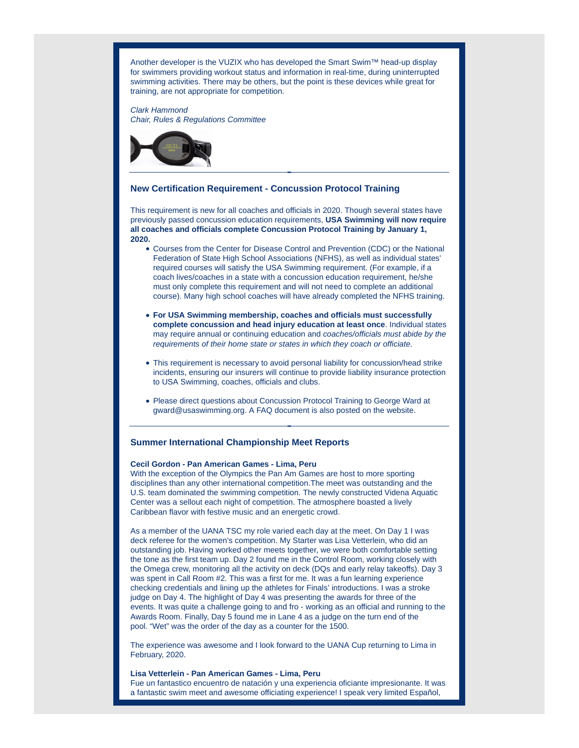Another developer is the VUZIX who has developed the Smart Swim™ head-up display for swimmers providing workout status and information in real-time, during uninterrupted swimming activities. There may be others, but the point is these devices while great for training, are not appropriate for competition.

Clark Hammond Chair, Rules & Regulations Committee



### **New Certification Requirement - Concussion Protocol Training**

This requirement is new for all coaches and officials in 2020. Though several states have previously passed concussion education requirements, **USA Swimming will now require all coaches and officials complete Concussion Protocol Training by January 1, 2020.**

- Courses from the Center for Disease Control and Prevention (CDC) or the National Federation of State High School Associations (NFHS), as well as individual states' required courses will satisfy the USA Swimming requirement. (For example, if a coach lives/coaches in a state with a concussion education requirement, he/she must only complete this requirement and will not need to complete an additional course). Many high school coaches will have already completed the NFHS training.
- **For USA Swimming membership, coaches and officials must successfully complete concussion and head injury education at least once**. Individual states may require annual or continuing education and coaches/officials must abide by the requirements of their home state or states in which they coach or officiate.
- This requirement is necessary to avoid personal liability for concussion/head strike incidents, ensuring our insurers will continue to provide liability insurance protection to USA Swimming, coaches, officials and clubs.
- Please direct questions about Concussion Protocol Training to George Ward at gward@usaswimming.org. A FAQ document is also posted on the website.

# **Summer International Championship Meet Reports**

#### **Cecil Gordon - Pan American Games - Lima, Peru**

With the exception of the Olympics the Pan Am Games are host to more sporting disciplines than any other international competition.The meet was outstanding and the U.S. team dominated the swimming competition. The newly constructed Videna Aquatic Center was a sellout each night of competition. The atmosphere boasted a lively Caribbean flavor with festive music and an energetic crowd.

As a member of the UANA TSC my role varied each day at the meet. On Day 1 I was deck referee for the women's competition. My Starter was Lisa Vetterlein, who did an outstanding job. Having worked other meets together, we were both comfortable setting the tone as the first team up. Day 2 found me in the Control Room, working closely with the Omega crew, monitoring all the activity on deck (DQs and early relay takeoffs). Day 3 was spent in Call Room #2. This was a first for me. It was a fun learning experience checking credentials and lining up the athletes for Finals' introductions. I was a stroke judge on Day 4. The highlight of Day 4 was presenting the awards for three of the events. It was quite a challenge going to and fro - working as an official and running to the Awards Room. Finally, Day 5 found me in Lane 4 as a judge on the turn end of the pool. "Wet" was the order of the day as a counter for the 1500.

The experience was awesome and I look forward to the UANA Cup returning to Lima in February, 2020.

## **Lisa Vetterlein - Pan American Games - Lima, Peru**

Fue un fantastico encuentro de natación y una experiencia oficiante impresionante. It was a fantastic swim meet and awesome officiating experience! I speak very limited Español,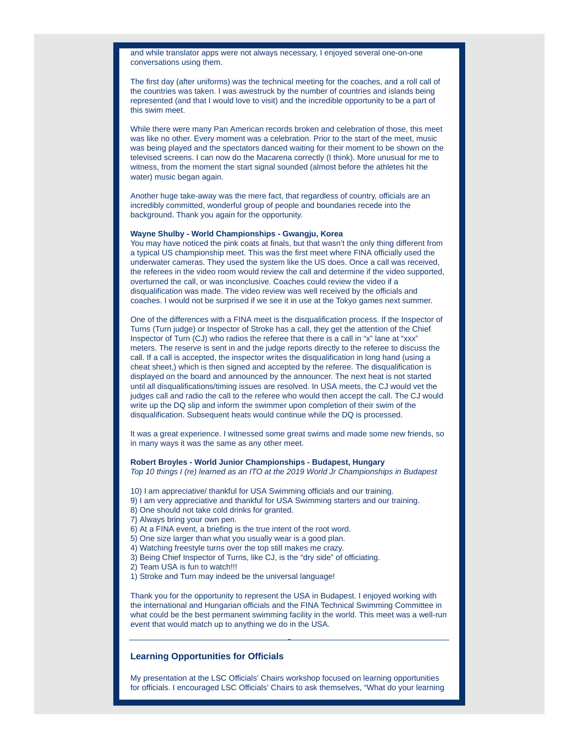and while translator apps were not always necessary, I enjoyed several one-on-one conversations using them.

The first day (after uniforms) was the technical meeting for the coaches, and a roll call of the countries was taken. I was awestruck by the number of countries and islands being represented (and that I would love to visit) and the incredible opportunity to be a part of this swim meet.

While there were many Pan American records broken and celebration of those, this meet was like no other. Every moment was a celebration. Prior to the start of the meet, music was being played and the spectators danced waiting for their moment to be shown on the televised screens. I can now do the Macarena correctly (I think). More unusual for me to witness, from the moment the start signal sounded (almost before the athletes hit the water) music began again.

Another huge take-away was the mere fact, that regardless of country, officials are an incredibly committed, wonderful group of people and boundaries recede into the background. Thank you again for the opportunity.

#### **Wayne Shulby - World Championships - Gwangju, Korea**

You may have noticed the pink coats at finals, but that wasn't the only thing different from a typical US championship meet. This was the first meet where FINA officially used the underwater cameras. They used the system like the US does. Once a call was received, the referees in the video room would review the call and determine if the video supported, overturned the call, or was inconclusive. Coaches could review the video if a disqualification was made. The video review was well received by the officials and coaches. I would not be surprised if we see it in use at the Tokyo games next summer.

One of the differences with a FINA meet is the disqualification process. If the Inspector of Turns (Turn judge) or Inspector of Stroke has a call, they get the attention of the Chief Inspector of Turn (CJ) who radios the referee that there is a call in "x" lane at "xxx" meters. The reserve is sent in and the judge reports directly to the referee to discuss the call. If a call is accepted, the inspector writes the disqualification in long hand (using a cheat sheet,) which is then signed and accepted by the referee. The disqualification is displayed on the board and announced by the announcer. The next heat is not started until all disqualifications/timing issues are resolved. In USA meets, the CJ would vet the judges call and radio the call to the referee who would then accept the call. The CJ would write up the DQ slip and inform the swimmer upon completion of their swim of the disqualification. Subsequent heats would continue while the DQ is processed.

It was a great experience. I witnessed some great swims and made some new friends, so in many ways it was the same as any other meet.

# **Robert Broyles - World Junior Championships - Budapest, Hungary**

Top 10 things I (re) learned as an ITO at the 2019 World Jr Championships in Budapest

- 10) I am appreciative/ thankful for USA Swimming officials and our training.
- 9) I am very appreciative and thankful for USA Swimming starters and our training.
- 8) One should not take cold drinks for granted.
- 7} Always bring your own pen.
- 6) At a FINA event, a briefing is the true intent of the root word.
- 5) One size larger than what you usually wear is a good plan.
- 4) Watching freestyle turns over the top still makes me crazy.
- 3) Being Chief Inspector of Turns, like CJ, is the "dry side" of officiating.
- 2) Team USA is fun to watch!!!
- 1) Stroke and Turn may indeed be the universal language!

Thank you for the opportunity to represent the USA in Budapest. I enjoyed working with the international and Hungarian officials and the FINA Technical Swimming Committee in what could be the best permanent swimming facility in the world. This meet was a well-run event that would match up to anything we do in the USA.

## **Learning Opportunities for Officials**

My presentation at the LSC Officials' Chairs workshop focused on learning opportunities for officials. I encouraged LSC Officials' Chairs to ask themselves, "What do your learning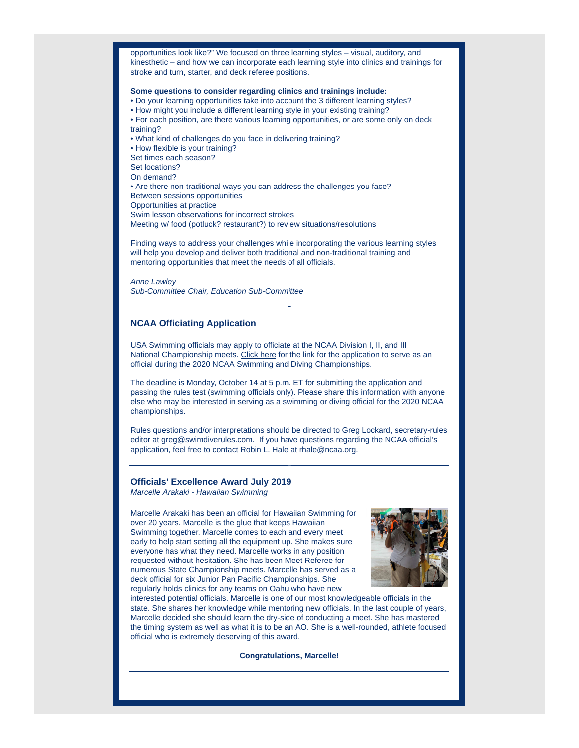opportunities look like?" We focused on three learning styles – visual, auditory, and kinesthetic – and how we can incorporate each learning style into clinics and trainings for stroke and turn, starter, and deck referee positions.

#### **Some questions to consider regarding clinics and trainings include:**

• Do your learning opportunities take into account the 3 different learning styles?

- How might you include a different learning style in your existing training?
- For each position, are there various learning opportunities, or are some only on deck training?
- What kind of challenges do you face in delivering training?

• How flexible is your training?

Set times each season?

Set locations?

On demand?

• Are there non-traditional ways you can address the challenges you face? Between sessions opportunities

Opportunities at practice

Swim lesson observations for incorrect strokes

Meeting w/ food (potluck? restaurant?) to review situations/resolutions

Finding ways to address your challenges while incorporating the various learning styles will help you develop and deliver both traditional and non-traditional training and mentoring opportunities that meet the needs of all officials.

Anne Lawley Sub-Committee Chair, Education Sub-Committee

## **NCAA Officiating Application**

USA Swimming officials may apply to officiate at the NCAA Division I, II, and III National Championship meets. Click here for the link for the application to serve as an official during the 2020 NCAA Swimming and Diving Championships.

The deadline is Monday, October 14 at 5 p.m. ET for submitting the application and passing the rules test (swimming officials only). Please share this information with anyone else who may be interested in serving as a swimming or diving official for the 2020 NCAA championships.

Rules questions and/or interpretations should be directed to Greg Lockard, secretary-rules editor at greg@swimdiverules.com. If you have questions regarding the NCAA official's application, feel free to contact Robin L. Hale at rhale@ncaa.org.

## **Officials' Excellence Award July 2019**

Marcelle Arakaki - Hawaiian Swimming

Marcelle Arakaki has been an official for Hawaiian Swimming for over 20 years. Marcelle is the glue that keeps Hawaiian Swimming together. Marcelle comes to each and every meet early to help start setting all the equipment up. She makes sure everyone has what they need. Marcelle works in any position requested without hesitation. She has been Meet Referee for numerous State Championship meets. Marcelle has served as a deck official for six Junior Pan Pacific Championships. She regularly holds clinics for any teams on Oahu who have new



interested potential officials. Marcelle is one of our most knowledgeable officials in the state. She shares her knowledge while mentoring new officials. In the last couple of years, Marcelle decided she should learn the dry-side of conducting a meet. She has mastered the timing system as well as what it is to be an AO. She is a well-rounded, athlete focused official who is extremely deserving of this award.

**Congratulations, Marcelle!**